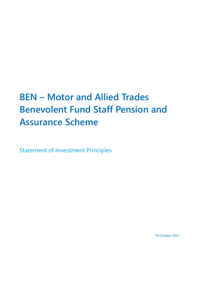# **BEN – Motor and Allied Trades Benevolent Fund Staff Pension and Assurance Scheme**

Statement of Investment Principles

18 October 2021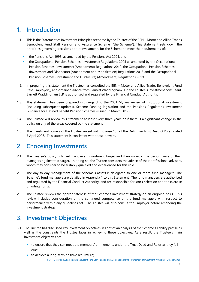# **1. Introduction**

- 1.1. This is the Statement of Investment Principles prepared by the Trustee of the BEN Motor and Allied Trades Benevolent Fund Staff Pension and Assurance Scheme ("the Scheme"). This statement sets down the principles governing decisions about investments for the Scheme to meet the requirements of:
	- the Pensions Act 1995, as amended by the Pensions Act 2004; and
	- the Occupational Pension Schemes (Investment) Regulations 2005 as amended by the Occupational Pension Schemes (Investment) (Amendment) Regulations 2010, the Occupational Pension Schemes (Investment and Disclosure) (Amendment and Modification) Regulations 2018 and the Occupational Pension Schemes (Investment and Disclosure) (Amendment) Regulations 2019.
- 1.2. In preparing this statement the Trustee has consulted the BEN Motor and Allied Trades Benevolent Fund ("the Employer"), and obtained advice from Barnett Waddingham LLP, the Trustee's investment consultant. Barnett Waddingham LLP is authorised and regulated by the Financial Conduct Authority.
- 1.3. This statement has been prepared with regard to the 2001 Myners review of institutional investment (including subsequent updates), Scheme Funding legislation and the Pensions Regulator's Investment Guidance for Defined Benefit Pension Schemes (issued in March 2017).
- 1.4. The Trustee will review this statement at least every three years or if there is a significant change in the policy on any of the areas covered by the statement.
- 1.5. The investment powers of the Trustee are set out in Clause 15B of the Definitive Trust Deed & Rules, dated 5 April 2006. This statement is consistent with those powers.

# **2. Choosing Investments**

- 2.1. The Trustee's policy is to set the overall investment target and then monitor the performance of their managers against that target. In doing so, the Trustee considers the advice of their professional advisers, whom they consider to be suitably qualified and experienced for this role.
- 2.2. The day-to-day management of the Scheme's assets is delegated to one or more fund managers. The Scheme's fund managers are detailed in Appendix 1 to this Statement. The fund managers are authorised and regulated by the Financial Conduct Authority, and are responsible for stock selection and the exercise of voting rights.
- 2.3. The Trustee reviews the appropriateness of the Scheme's investment strategy on an ongoing basis. This review includes consideration of the continued competence of the fund managers with respect to performance within any guidelines set. The Trustee will also consult the Employer before amending the investment strategy.

# **3. Investment Objectives**

- 3.1. The Trustee has discussed key investment objectives in light of an analysis of the Scheme's liability profile as well as the constraints the Trustee faces in achieving these objectives. As a result, the Trustee's main investment objectives are:
	- to ensure that they can meet the members' entitlements under the Trust Deed and Rules as they fall due;
	- to achieve a long-term positive real return;

BEN – Motor and Allied Trades Benevolent Fund Staff Pension and Assurance Scheme – Statement of Investment Principles – October 2021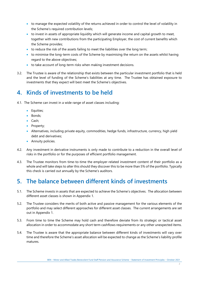- to manage the expected volatility of the returns achieved in order to control the level of volatility in the Scheme's required contribution levels;
- to invest in assets of appropriate liquidity which will generate income and capital growth to meet, together with new contributions from the participating Employer, the cost of current benefits which the Scheme provides;
- to reduce the risk of the assets failing to meet the liabilities over the long term;
- to minimise the long-term costs of the Scheme by maximising the return on the assets whilst having regard to the above objectives;
- to take account of long-term risks when making investment decisions.
- 3.2. The Trustee is aware of the relationship that exists between the particular investment portfolio that is held and the level of funding of the Scheme's liabilities at any time. The Trustee has obtained exposure to investments that they expect will best meet the Scheme's objectives.

# **4. Kinds of investments to be held**

- 4.1. The Scheme can invest in a wide range of asset classes including:
	- **•** Equities;
	- Bonds;
	- Cash;
	- Property;
	- Alternatives, including private equity, commodities, hedge funds, infrastructure, currency, high yield debt and derivatives;
	- **Annuity policies.**
- 4.2. Any investment in derivative instruments is only made to contribute to a reduction in the overall level of risks in the portfolio or for the purposes of efficient portfolio management.
- 4.3. The Trustee monitors from time-to-time the employer-related investment content of their portfolio as a whole and will take steps to alter this should they discover this to be more than 5% of the portfolio. Typically this check is carried out annually by the Scheme's auditors.

### **5. The balance between different kinds of investments**

- 5.1. The Scheme invests in assets that are expected to achieve the Scheme's objectives. The allocation between different asset classes is shown in Appendix 1.
- 5.2. The Trustee considers the merits of both active and passive management for the various elements of the portfolio and may select different approaches for different asset classes. The current arrangements are set out in Appendix 1.
- 5.3. From time to time the Scheme may hold cash and therefore deviate from its strategic or tactical asset allocation in order to accommodate any short term cashflows requirements or any other unexpected items.
- 5.4. The Trustee is aware that the appropriate balance between different kinds of investments will vary over time and therefore the Scheme's asset allocation will be expected to change as the Scheme's liability profile matures.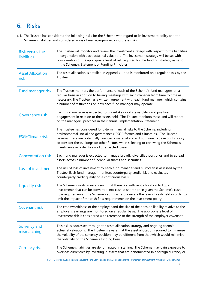# **6. Risks**

6.1. The Trustee has considered the following risks for the Scheme with regard to its investment policy and the Scheme's liabilities and considered ways of managing/monitoring these risks:

| Risk versus the<br>liabilities  | The Trustee will monitor and review the investment strategy with respect to the liabilities<br>in conjunction with each actuarial valuation. The investment strategy will be set with<br>consideration of the appropriate level of risk required for the funding strategy as set out<br>in the Scheme's Statement of Funding Principles.                                                                       |
|---------------------------------|----------------------------------------------------------------------------------------------------------------------------------------------------------------------------------------------------------------------------------------------------------------------------------------------------------------------------------------------------------------------------------------------------------------|
| <b>Asset Allocation</b><br>risk | The asset allocation is detailed in Appendix 1 and is monitored on a regular basis by the<br>Trustee.                                                                                                                                                                                                                                                                                                          |
| Fund manager risk               | The Trustee monitors the performance of each of the Scheme's fund managers on a<br>regular basis in addition to having meetings with each manager from time to time as<br>necessary. The Trustee has a written agreement with each fund manager, which contains<br>a number of restrictions on how each fund manager may operate.                                                                              |
| Governance risk                 | Each fund manager is expected to undertake good stewardship and positive<br>engagement in relation to the assets held. The Trustee monitors these and will report<br>on the managers' practices in their annual Implementation Statement.                                                                                                                                                                      |
| <b>ESG/Climate risk</b>         | The Trustee has considered long-term financial risks to the Scheme, including<br>environmental, social and governance ("ESG") factors and climate risk. The Trustee<br>believes these are potentially financially material and will continue to develop its policy<br>to consider these, alongside other factors, when selecting or reviewing the Scheme's<br>investments in order to avoid unexpected losses. |
| <b>Concentration risk</b>       | Each fund manager is expected to manage broadly diversified portfolios and to spread<br>assets across a number of individual shares and securities.                                                                                                                                                                                                                                                            |
| Loss of investment              | The risk of loss of investment by each fund manager and custodian is assessed by the<br>Trustee. Each fund manager monitors counterparty credit risk and evaluates<br>counterparty credit quality on a continuous basis.                                                                                                                                                                                       |
| Liquidity risk                  | The Scheme invests in assets such that there is a sufficient allocation to liquid<br>investments that can be converted into cash at short notice given the Scheme's cash<br>flow requirements. The Scheme's administrators assess the level of cash held in order to<br>limit the impact of the cash flow requirements on the investment policy.                                                               |
| <b>Covenant risk</b>            | The creditworthiness of the employer and the size of the pension liability relative to the<br>employer's earnings are monitored on a regular basis. The appropriate level of<br>investment risk is considered with reference to the strength of the employer covenant.                                                                                                                                         |
| Solvency and<br>mismatching     | This risk is addressed through the asset allocation strategy and ongoing triennial<br>actuarial valuations. The Trustee is aware that the asset allocation required to minimise<br>the volatility of the solvency position may be different from that which would minimise<br>the volatility on the Scheme's funding basis.                                                                                    |
| <b>Currency risk</b>            | The Scheme's liabilities are denominated in sterling. The Scheme may gain exposure to<br>overseas currencies by investing in assets that are denominated in a foreign currency or                                                                                                                                                                                                                              |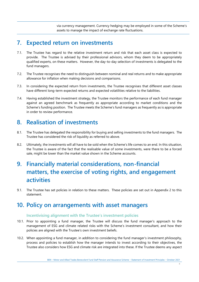via currency management. Currency hedging may be employed in some of the Scheme's assets to manage the impact of exchange rate fluctuations.

### **7. Expected return on investments**

- 7.1. The Trustee has regard to the relative investment return and risk that each asset class is expected to provide. The Trustee is advised by their professional advisors, whom they deem to be appropriately qualified experts, on these matters. However, the day-to-day selection of investments is delegated to the fund managers.
- 7.2. The Trustee recognises the need to distinguish between nominal and real returns and to make appropriate allowance for inflation when making decisions and comparisons.
- 7.3. In considering the expected return from investments, the Trustee recognises that different asset classes have different long-term expected returns and expected volatilities relative to the liabilities.
- 7.4. Having established the investment strategy, the Trustee monitors the performance of each fund manager against an agreed benchmark as frequently as appropriate according to market conditions and the Scheme's funding position. The Trustee meets the Scheme's fund managers as frequently as is appropriate in order to review performance.

# **8. Realisation of investments**

- 8.1. The Trustee has delegated the responsibility for buying and selling investments to the fund managers. The Trustee has considered the risk of liquidity as referred to above.
- 8.2. Ultimately, the investments will all have to be sold when the Scheme's life comes to an end. In this situation, the Trustee is aware of the fact that the realisable value of some investments, were there to be a forced sale, might be lower than the market value shown in the Scheme accounts.

# **9. Financially material considerations, non-financial matters, the exercise of voting rights, and engagement activities**

9.1. The Trustee has set policies in relation to these matters. These policies are set out in Appendix 2 to this statement.

### **10. Policy on arrangements with asset managers**

#### **Incentivising alignment with the Trustee's investment policies**

- 10.1. Prior to appointing a fund manager, the Trustee will discuss the fund manager's approach to the management of ESG and climate related risks with the Scheme's investment consultant, and how their policies are aligned with the Trustee's own investment beliefs.
- 10.2. When appointing a fund manager, in addition to considering the fund manager's investment philosophy, process and policies to establish how the manager intends to invest according to their objectives, the Trustee also considers how ESG and climate risk are integrated into these. If the Trustee deems any aspect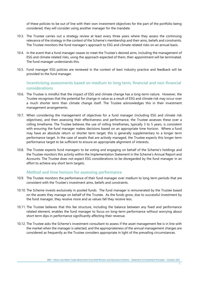of these policies to be out of line with their own investment objectives for the part of the portfolio being considered, they will consider using another manager for the mandate.

- 10.3. The Trustee carries out a strategy review at least every three years where they assess the continuing relevance of the strategy in the context of the Scheme's membership and their aims, beliefs and constraints. The Trustee monitors the fund manager's approach to ESG and climate related risks on an annual basis.
- 10.4. In the event that a fund manager ceases to meet the Trustee's desired aims, including the management of ESG and climate related risks, using the approach expected of them, their appointment will be terminated. The fund manager understands this.
- 10.5. Fund manager ESG policies are reviewed in the context of best industry practice and feedback will be provided to the fund manager.

#### **Incentivising assessments based on medium to long term, financial and non-financial considerations**

- 10.6. The Trustee is mindful that the impact of ESG and climate change has a long-term nature. However, the Trustee recognises that the potential for change in value as a result of ESG and climate risk may occur over a much shorter term than climate change itself. The Trustee acknowledges this in their investment management arrangements.
- 10.7. When considering the management of objectives for a fund manager (including ESG and climate risk objectives), and then assessing their effectiveness and performance, the Trustee assesses these over a rolling timeframe. The Trustee believes the use of rolling timeframes, typically 3 to 5 years, is consistent with ensuring the fund manager makes decisions based on an appropriate time horizon. Where a fund may have an absolute return or shorter term target, this is generally supplementary to a longer term performance target. In the case of assets that are actively managed, the Trustee expects this longer term performance target to be sufficient to ensure an appropriate alignment of interests.
- 10.8. The Trustee expects fund managers to be voting and engaging on behalf of the Scheme's holdings and the Trustee monitors this activity within the Implementation Statement in the Scheme's Annual Report and Accounts. The Trustee does not expect ESG considerations to be disregarded by the fund manager in an effort to achieve any short term targets.

#### **Method and time horizon for assessing performance**

- 10.9. The Trustee monitors the performance of their fund manager over medium to long term periods that are consistent with the Trustee's investment aims, beliefs and constraints.
- 10.10. The Scheme invests exclusively in pooled funds. The fund manager is remunerated by the Trustee based on the assets they manage on behalf of the Trustee. As the funds grow, due to successful investment by the fund manager, they receive more and as values fall they receive less.
- 10.11. The Trustee believes that this fee structure, including the balance between any fixed and performance related element, enables the fund manager to focus on long-term performance without worrying about short term dips in performance significantly affecting their revenue.
- 10.12. The Trustee asks the Scheme's investment consultant to assess if the asset management fee is in line with the market when the manager is selected, and the appropriateness of the annual management charges are considered as frequently as the Trustee considers appropriate in light of the prevailing circumstances.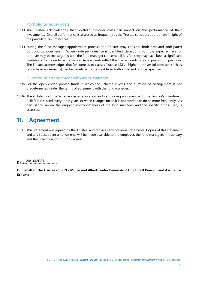#### **Portfolio turnover costs**

- 10.13. The Trustee acknowledges that portfolio turnover costs can impact on the performance of their investments. Overall performance is assessed as frequently as the Trustee considers appropriate in light of the prevailing circumstances.
- 10.14. During the fund manager appointment process, the Trustee may consider both past and anticipated portfolio turnover levels. When underperformance is identified, deviations from the expected level of turnover may be investigated with the fund manager concerned if it is felt they may have been a significant contributor to the underperformance. Assessments reflect the market conditions and peer group practices. The Trustee acknowledges that for some asset classes (such as LDI), a higher turnover (of contracts such as repurchase agreements) can be beneficial to the fund from both a risk and cost perspective.

#### **Duration of arrangement with asset manager**

- 10.15. For the open-ended pooled funds in which the Scheme invests, the duration of arrangement is not predetermined under the terms of agreement with the fund manager.
- 10.16. The suitability of the Scheme's asset allocation and its ongoing alignment with the Trustee's investment beliefs is assessed every three years, or when changes mean it is appropriate to do so more frequently. As part of this review the ongoing appropriateness of the fund manager, and the specific funds used, is assessed.

### **11. Agreement**

11.1. This statement was agreed by the Trustee, and replaces any previous statements. Copies of this statement and any subsequent amendments will be made available to the employer, the fund managers, the actuary and the Scheme auditor upon request.

**Date:**………………………………… 20/10/2021

**On behalf of the Trustee of BEN - Motor and Allied Trades Benevolent Fund Staff Pension and Assurance Scheme**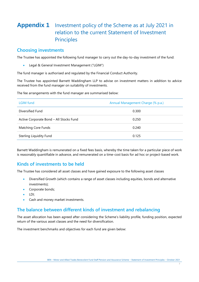# **Appendix 1** Investment policy of the Scheme as at July 2021 in relation to the current Statement of Investment **Principles**

#### **Choosing investments**

The Trustee has appointed the following fund manager to carry out the day-to-day investment of the fund:

Legal & General Investment Management ("LGIM")

The fund manager is authorised and regulated by the Financial Conduct Authority.

The Trustee has appointed Barnett Waddingham LLP to advise on investment matters in addition to advice received from the fund manager on suitability of investments.

The fee arrangements with the fund manager are summarised below:

| LGIM fund                               | Annual Management Charge (% p.a.) |
|-----------------------------------------|-----------------------------------|
| Diversified Fund                        | 0.300                             |
| Active Corporate Bond - All Stocks Fund | 0.250                             |
| Matching Core Funds                     | 0.240                             |
| Sterling Liquidity Fund                 | 0.125                             |

Barnett Waddingham is remunerated on a fixed fees basis, whereby the time taken for a particular piece of work is reasonably quantifiable in advance, and remunerated on a time-cost basis for ad hoc or project-based work.

### **Kinds of investments to be held**

The Trustee has considered all asset classes and have gained exposure to the following asset classes

- Diversified Growth (which contains a range of asset classes including equities, bonds and alternative investments);
- Corporate bonds;
- LDI;
- Cash and money market investments.

### **The balance between different kinds of investment and rebalancing**

The asset allocation has been agreed after considering the Scheme's liability profile, funding position, expected return of the various asset classes and the need for diversification.

The investment benchmarks and objectives for each fund are given below:

7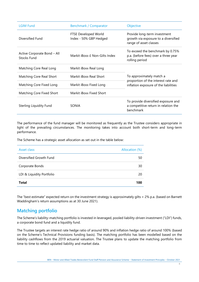| <b>LGIM Fund</b>                                  | Benchmark / Comparator                         | Objective                                                                                                |  |
|---------------------------------------------------|------------------------------------------------|----------------------------------------------------------------------------------------------------------|--|
| Diversified Fund                                  | FTSE Developed World<br>Index - 50% GBP Hedged | Provide long-term investment<br>growth via exposure to a diversified<br>range of asset classes           |  |
| Active Corporate Bond - All<br><b>Stocks Fund</b> | Markit iBoxx £ Non-Gilts Index                 | To exceed the benchmark by 0.75%<br>p.a. (before fees) over a three year<br>rolling period               |  |
| Matching Core Real Long                           | Markit iBoxx Real Long                         |                                                                                                          |  |
| Matching Core Real Short                          | Markit iBoxx Real Short                        | To approximately match a<br>proportion of the interest rate and<br>inflation exposure of the liabilities |  |
| Matching Core Fixed Long                          | Markit iBoxx Fixed Long                        |                                                                                                          |  |
| Matching Core Fixed Short                         | Markit iBoxx Fixed Short                       |                                                                                                          |  |
| Sterling Liquidity Fund                           | SONIA                                          | To provide diversified exposure and<br>a competitive return in relation the<br>benchmark                 |  |

The performance of the fund manager will be monitored as frequently as the Trustee considers appropriate in light of the prevailing circumstances. The monitoring takes into account both short-term and long-term performance.

The Scheme has a strategic asset allocation as set out in the table below:

| Asset class               | Allocation (%) |
|---------------------------|----------------|
| Diversified Growth Fund   | 50             |
| Corporate Bonds           | 30             |
| LDI & Liquidity Portfolio | 20             |
| <b>Total</b>              | 100            |

The "best estimate" expected return on the investment strategy is approximately gilts + 2% p.a. (based on Barnett Waddingham's return assumptions as at 30 June 2021).

### **Matching portfolio**

The Scheme's liability-matching portfolio is invested in leveraged, pooled liability-driven investment ("LDI") funds, a corporate bond fund and a liquidity fund.

The Trustee targets an interest rate hedge ratio of around 90% and inflation hedge ratio of around 100% (based on the Scheme's Technical Provisions funding basis). The matching portfolio has been modelled based on the liability cashflows from the 2019 actuarial valuation. The Trustee plans to update the matching portfolio from time to time to reflect updated liability and market data.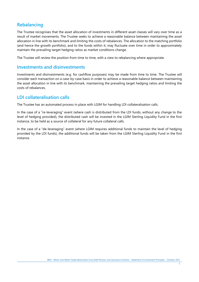### **Rebalancing**

The Trustee recognises that the asset allocation of investments in different asset classes will vary over time as a result of market movements. The Trustee seeks to achieve a reasonable balance between maintaining the asset allocation in line with its benchmark and limiting the costs of rebalances. The allocation to the matching portfolio (and hence the growth portfolio), and to the funds within it, may fluctuate over time in order to approximately maintain the prevailing target hedging ratios as market conditions change.

The Trustee will review the position from time to time, with a view to rebalancing where appropriate.

#### **Investments and disinvestments**

Investments and disinvestments (e.g. for cashflow purposes) may be made from time to time. The Trustee will consider each transaction on a case-by-case basis in order to achieve a reasonable balance between maintaining the asset allocation in line with its benchmark, maintaining the prevailing target hedging ratios and limiting the costs of rebalances.

#### **LDI collateralisation calls**

The Trustee has an automated process in place with LGIM for handling LDI collateralisation calls.

In the case of a "re-leveraging" event (where cash is distributed from the LDI funds, without any change to the level of hedging provided), the distributed cash will be invested in the LGIM Sterling Liquidity Fund in the first instance, to be held as a source of collateral for any future collateral calls.

In the case of a "de-leveraging" event (where LGIM requires additional funds to maintain the level of hedging provided by the LDI funds), the additional funds will be taken from the LGIM Sterling Liquidity Fund in the first instance.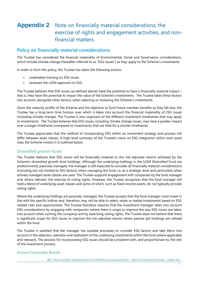# **Appendix 2** Note on financially material considerations, the exercise of rights and engagement activities, and nonfinancial matters

### **Policy on financially material considerations**

The Trustee has considered the financial materiality of Environmental, Social and Governance considerations, which include climate change (hereafter referred to as "ESG issues") as they apply to the Scheme's investments.

In order to form this policy, the Trustee has taken the following actions:

- undertaken training on ESG issues
- reviewed the LGIM approach to ESG.

The Trustee believes that ESG issues (as defined above) have the potential to have a financially material impact – that is, they have the potential to impact the value of the Scheme's investments. The Trustee takes these factors into account, alongside other factors, when selecting or reviewing the Scheme's investments.

Given the maturity profile of the Scheme and the objective to fund future member benefits as they fall due, the Trustee has a long-term time horizon over which it takes into account the financial materiality of ESG issues (including climate change). The Trustee is also cognisant of the different investment timeframes that may apply to investments. The Trustee believes that ESG issues, including climate change issues, may have a greater impact over a longer timeframe (compared to investments that are held for a shorter timeframe).

The Trustee appreciates that the method of incorporating ESG within an investment strategy and process will differ between asset classes. A high-level summary of the Trustee's views on ESG integration within each asset class the Scheme invests in is outlined below:

#### **Diversified growth funds**

The Trustee believes that ESG issues will be financially material to the risk-adjusted returns achieved by the Scheme's diversified growth fund holdings. Although the underlying holdings in the LGIM Diversified Fund are predominantly passively managed, the manager is still expected to consider all financially material considerations (including but not limited to ESG factors) when managing the fund, i.e. at a strategic level and particularly when actively managed asset classes are used. The Trustee supports engagement with companies by the fund manager and, where relevant, the exercise of voting rights. However, the Trustee recognises that the fund manager will hold a blend of underlying asset classes and some of which, such as fixed income assets, do not typically provide voting rights.

Where the underlying holdings are passively managed, the Trustee accepts that the fund manager must invest in line with the specific indices and, therefore, may not be able to select, retain or realise investments based on ESG related risks and opportunities. The Trustee therefore requires that the investment manager takes into account ESG considerations by engaging with companies (where there is scope to improve the way ESG issues are taken into account when running the company) and by exercising voting rights. The Trustee does not believe that there is significant scope for ESG issues to improve the risk-adjusted returns where passive gilt holdings are utilised within the fund.

The Trustee is satisfied that the manager has suitable processes to consider ESG factors and take them into account in the selection, retention and realisation of the underlying investments within the fund (where applicable and relevant). The process for incorporating ESG issues should be consistent with, and proportionate to, the rest of the investment process.

#### **Active Corporate Bonds**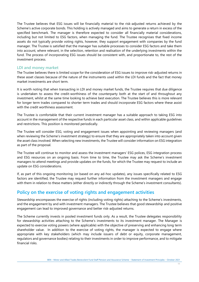The Trustee believes that ESG issues will be financially material to the risk-adjusted returns achieved by the Scheme's active corporate bonds. This holding is actively managed and aims to generate a return in excess of the specified benchmark. The manager is therefore expected to consider all financially material considerations, including but not limited to ESG factors, when managing the fund. The Trustee recognises that fixed income assets do not typically provide voting rights, however, they support engagement with companies by the fund manager. The Trustee is satisfied that the manager has suitable processes to consider ESG factors and take them into account, where relevant, in the selection, retention and realisation of the underlying investments within the fund. The process of incorporating ESG issues should be consistent with, and proportionate to, the rest of the investment process.

#### **LDI and money market**

The Trustee believes there is limited scope for the consideration of ESG issues to improve risk-adjusted returns in these asset classes because of the nature of the instruments used within the LDI funds and the fact that money market investments are short term.

It is worth noting that when transacting in LDI and money market funds, the Trustee requires that due diligence is undertaken to assess the credit-worthiness of the counterparty both at the start of and throughout any investment, whilst at the same time looking to achieve best execution. The Trustee believes this is more relevant for longer term trades compared to shorter term trades and should incorporate ESG factors where these assist with the credit worthiness assessment.

The Trustee is comfortable that their current investment manager has a suitable approach to taking ESG into account in the management of the respective funds in each particular asset class, and within applicable guidelines and restrictions. This position is monitored periodically.

The Trustee will consider ESG, voting and engagement issues when appointing and reviewing managers (and when reviewing the Scheme's investment strategy) to ensure that they are appropriately taken into account given the asset class involved. When selecting new investments, the Trustee will consider information on ESG integration as part of the proposal.

The Trustee will continue to monitor and assess the investment managers' ESG polices, ESG integration process and ESG resources on an ongoing basis. From time to time, the Trustee may ask the Scheme's investment managers to attend meetings and provide updates on the funds, for which the Trustee may request to include an update on ESG considerations.

If, as part of this ongoing monitoring (or based on any ad-hoc updates), any issues specifically related to ESG factors are identified, the Trustee may request further information from the investment managers and engage with them in relation to these matters (either directly or indirectly through the Scheme's investment consultants).

### **Policy on the exercise of voting rights and engagement activities**

Stewardship encompasses the exercise of rights (including voting rights) attaching to the Scheme's investments, and the engagement by and with investment managers. The Trustee believes that good stewardship and positive engagement can lead to improved governance and better risk-adjusted returns.

The Scheme currently invests in pooled investment funds only. As a result, the Trustee delegates responsibility for stewardship activities attaching to the Scheme's investments to its investment manager. The Manager is expected to exercise voting powers (where applicable) with the objective of preserving and enhancing long term shareholder value. In addition to the exercise of voting rights, the manager is expected to engage where appropriate with key stakeholders (which may include issuers of debt or equity, corporate management, regulators and governance bodies) relating to their investments in order to improve performance, and to mitigate financial risks.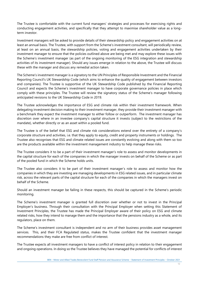The Trustee is comfortable with the current fund managers' strategies and processes for exercising rights and conducting engagement activities, and specifically that they attempt to maximise shareholder value as a longterm investor.

Investment managers will be asked to provide details of their stewardship policy and engagement activities on at least an annual basis. The Trustee, with support from the Scheme's investment consultant, will periodically review, at least on an annual basis, the stewardship policies, voting and engagement activities undertaken by their investment manager to ensure that the policies outlined above are being met and may explore these issues with the Scheme's investment manager (as part of the ongoing monitoring of the ESG integration and stewardship activities of its investment manager). Should any issues emerge in relation to the above, the Trustee will discuss these with the manager and discuss any remedial action taken.

The Scheme's investment manager is a signatory to the UN Principles of Responsible Investment and the Financial Reporting Council's UK Stewardship Code (which aims to enhance the quality of engagement between investors and companies). The Trustee is supportive of the UK Stewardship Code published by the Financial Reporting Council and expects the Scheme's investment manager to have corporate governance policies in place which comply with these principles. The Trustee will review the signatory status of the Scheme's manager following anticipated revisions to the UK Stewardship Code in 2019.

The Trustee acknowledges the importance of ESG and climate risk within their investment framework. When delegating investment decision making to their investment manager, they provide their investment manager with a benchmark they expect the investment manager to either follow or outperform. The investment manager has discretion over where in an investee company's capital structure it invests (subject to the restrictions of the mandate), whether directly or as an asset within a pooled fund.

The Trustee is of the belief that ESG and climate risk considerations extend over the entirety of a company's corporate structure and activities, i.e. that they apply to equity, credit and property instruments or holdings. The Trustee also recognises that ESG and climate related issues are constantly evolving and along with them so too are the products available within the investment management industry to help manage these risks.

The Trustee considers it to be a part of their investment manager's role to assess and monitor developments in the capital structure for each of the companies in which the manager invests on behalf of the Scheme or as part of the pooled fund in which the Scheme holds units.

The Trustee also considers it to be part of their investment manager's role to assess and monitor how the companies in which they are investing are managing developments in ESG related issues, and in particular climate risk, across the relevant parts of the capital structure for each of the companies in which the managers invest on behalf of the Scheme.

Should an investment manager be failing in these respects, this should be captured in the Scheme's periodic monitoring.

The Scheme's investment manager is granted full discretion over whether or not to invest in the Principal Employer's business. Through their consultation with the Principal Employer when setting this Statement of Investment Principles, the Trustee has made the Principal Employer aware of their policy on ESG and climate related risks, how they intend to manage them and the importance that the pensions industry as a whole, and its regulators, place on them.

The Scheme's investment consultant is independent and no arm of their business provides asset management services. This, and their FCA Regulated status, makes the Trustee confident that the investment manager recommendations they make are free from conflict of interest.

The Trustee expects all investment managers to have a conflict of interest policy in relation to their engagement and ongoing operations. In doing so the Trustee believes they have managed the potential for conflicts of interest